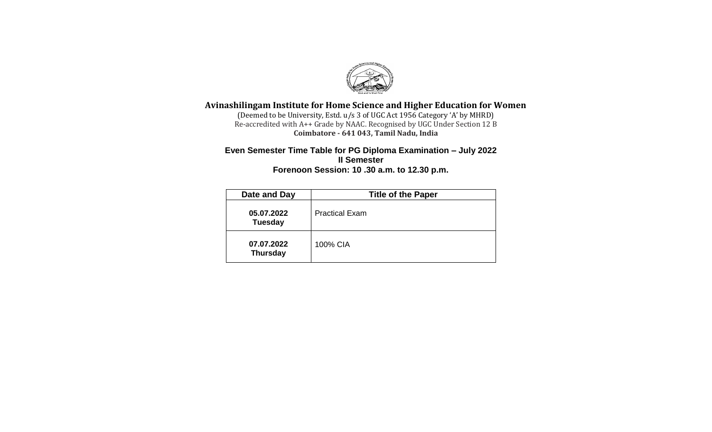

## **Avinashilingam Institute for Home Science and Higher Education for Women**

(Deemed to be University, Estd. u/s 3 of UGC Act 1956 Category 'A' by MHRD) Re-accredited with A++ Grade by NAAC. Recognised by UGC Under Section 12 B **Coimbatore - 641 043, Tamil Nadu, India**

#### **Even Semester Time Table for PG Diploma Examination – July 2022 II Semester Forenoon Session: 10 .30 a.m. to 12.30 p.m.**

| Date and Day                  | <b>Title of the Paper</b> |
|-------------------------------|---------------------------|
| 05.07.2022<br><b>Tuesday</b>  | <b>Practical Exam</b>     |
| 07.07.2022<br><b>Thursday</b> | 100% CIA                  |